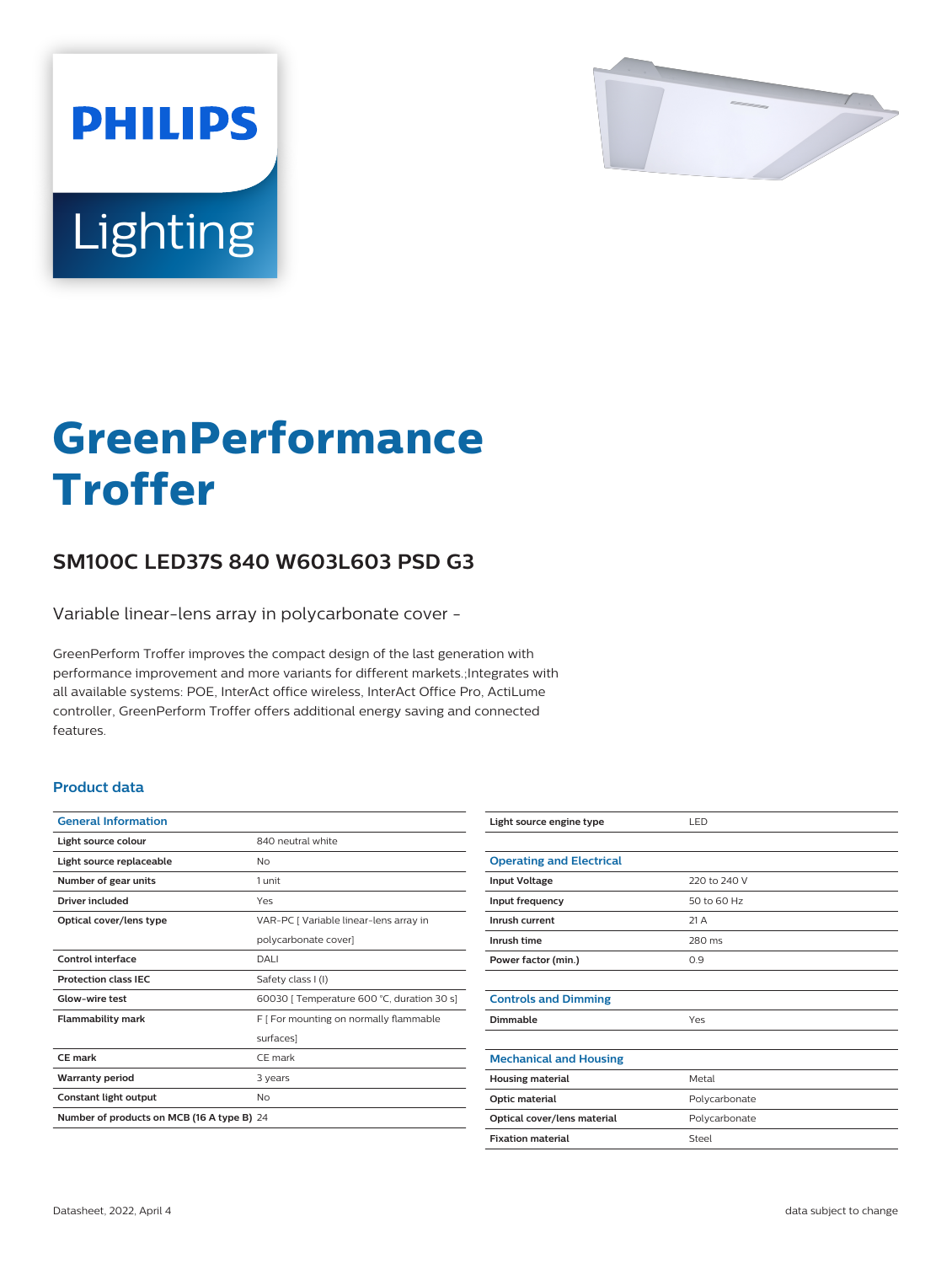

# Lighting

**PHILIPS** 

# **GreenPerformance Troffer**

## **SM100C LED37S 840 W603L603 PSD G3**

Variable linear-lens array in polycarbonate cover -

GreenPerform Troffer improves the compact design of the last generation with performance improvement and more variants for different markets.;Integrates with all available systems: POE, InterAct office wireless, InterAct Office Pro, ActiLume controller, GreenPerform Troffer offers additional energy saving and connected features.

#### **Product data**

| <b>General Information</b>                 |                                            |  |
|--------------------------------------------|--------------------------------------------|--|
| Light source colour                        | 840 neutral white                          |  |
| Light source replaceable                   | Nο                                         |  |
| Number of gear units                       | 1 unit                                     |  |
| Driver included                            | Yes                                        |  |
| Optical cover/lens type                    | VAR-PC   Variable linear-lens array in     |  |
|                                            | polycarbonate cover]                       |  |
| Control interface                          | DALI                                       |  |
| <b>Protection class IEC</b>                | Safety class I (I)                         |  |
| Glow-wire test                             | 60030   Temperature 600 °C, duration 30 s] |  |
| <b>Flammability mark</b>                   | F   For mounting on normally flammable     |  |
|                                            | surfaces]                                  |  |
| CE mark                                    | CF mark                                    |  |
| <b>Warranty period</b>                     | 3 years                                    |  |
| Constant light output                      | No                                         |  |
| Number of products on MCB (16 A type B) 24 |                                            |  |

| Light source engine type        | LED           |
|---------------------------------|---------------|
|                                 |               |
| <b>Operating and Electrical</b> |               |
| <b>Input Voltage</b>            | 220 to 240 V  |
| Input frequency                 | 50 to 60 Hz   |
| Inrush current                  | 21A           |
| Inrush time                     | 280 ms        |
| Power factor (min.)             | 0.9           |
|                                 |               |
| <b>Controls and Dimming</b>     |               |
| Dimmable                        | Yes           |
|                                 |               |
| <b>Mechanical and Housing</b>   |               |
| <b>Housing material</b>         | Metal         |
| Optic material                  | Polycarbonate |
| Optical cover/lens material     | Polycarbonate |
| <b>Fixation material</b>        | Steel         |
|                                 |               |